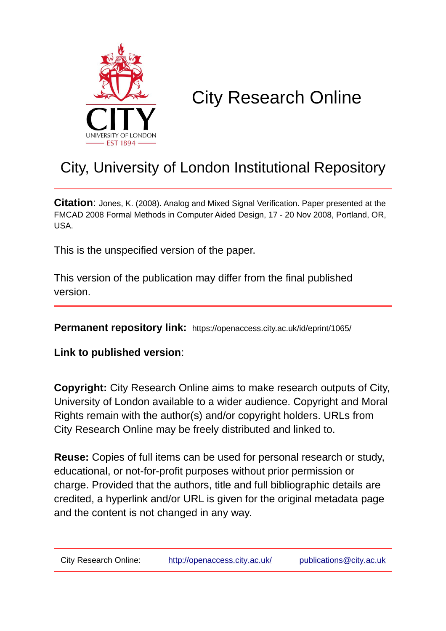

# City Research Online

# City, University of London Institutional Repository

**Citation**: Jones, K. (2008). Analog and Mixed Signal Verification. Paper presented at the FMCAD 2008 Formal Methods in Computer Aided Design, 17 - 20 Nov 2008, Portland, OR, USA.

This is the unspecified version of the paper.

This version of the publication may differ from the final published version.

**Permanent repository link:** https://openaccess.city.ac.uk/id/eprint/1065/

**Link to published version**:

**Copyright:** City Research Online aims to make research outputs of City, University of London available to a wider audience. Copyright and Moral Rights remain with the author(s) and/or copyright holders. URLs from City Research Online may be freely distributed and linked to.

**Reuse:** Copies of full items can be used for personal research or study, educational, or not-for-profit purposes without prior permission or charge. Provided that the authors, title and full bibliographic details are credited, a hyperlink and/or URL is given for the original metadata page and the content is not changed in any way.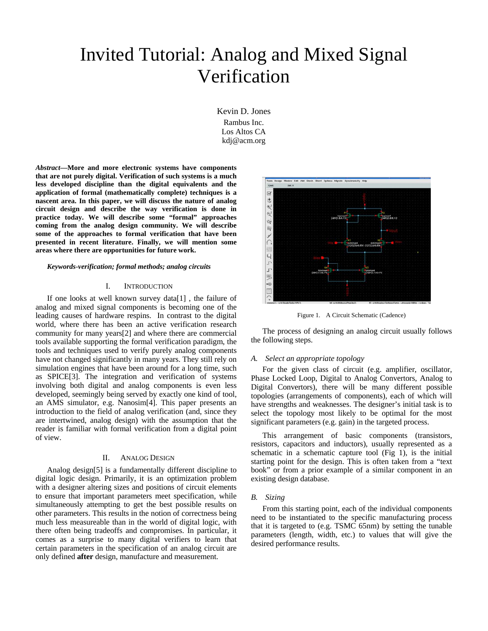# Invited Tutorial: Analog and Mixed Signal Verification

Kevin D. Jones Rambus Inc. Los Altos CA kdj@acm.org

*Abstract***—More and more electronic systems have components that are not purely digital. Verification of such systems is a much less developed discipline than the digital equivalents and the application of formal (mathematically complete) techniques is a nascent area. In this paper, we will discuss the nature of analog circuit design and describe the way verification is done in practice today. We will describe some "formal" approaches coming from the analog design community. We will describe some of the approaches to formal verification that have been presented in recent literature. Finally, we will mention some areas where there are opportunities for future work.** 

#### *Keywords-verification; formal methods; analog circuits*

#### I. INTRODUCTION

If one looks at well known survey data[1] , the failure of analog and mixed signal components is becoming one of the leading causes of hardware respins. In contrast to the digital world, where there has been an active verification research community for many years[2] and where there are commercial tools available supporting the formal verification paradigm, the tools and techniques used to verify purely analog components have not changed significantly in many years. They still rely on simulation engines that have been around for a long time, such as SPICE[3]. The integration and verification of systems involving both digital and analog components is even less developed, seemingly being served by exactly one kind of tool, an AMS simulator, e.g. Nanosim[4]. This paper presents an introduction to the field of analog verification (and, since they are intertwined, analog design) with the assumption that the reader is familiar with formal verification from a digital point of view.

#### II. ANALOG DESIGN

Analog design[5] is a fundamentally different discipline to digital logic design. Primarily, it is an optimization problem with a designer altering sizes and positions of circuit elements to ensure that important parameters meet specification, while simultaneously attempting to get the best possible results on other parameters. This results in the notion of correctness being much less measureable than in the world of digital logic, with there often being tradeoffs and compromises. In particular, it comes as a surprise to many digital verifiers to learn that certain parameters in the specification of an analog circuit are only defined **after** design, manufacture and measurement.



Figure 1. A Circuit Schematic (Cadence)

The process of designing an analog circuit usually follows the following steps.

#### *A. Select an appropriate topology*

For the given class of circuit (e.g. amplifier, oscillator, Phase Locked Loop, Digital to Analog Convertors, Analog to Digital Convertors), there will be many different possible topologies (arrangements of components), each of which will have strengths and weaknesses. The designer's initial task is to select the topology most likely to be optimal for the most significant parameters (e.g. gain) in the targeted process.

This arrangement of basic components (transistors, resistors, capacitors and inductors), usually represented as a schematic in a schematic capture tool (Fig 1), is the initial starting point for the design. This is often taken from a "text book" or from a prior example of a similar component in an existing design database.

#### *B. Sizing*

From this starting point, each of the individual components need to be instantiated to the specific manufacturing process that it is targeted to (e.g. TSMC 65nm) by setting the tunable parameters (length, width, etc.) to values that will give the desired performance results.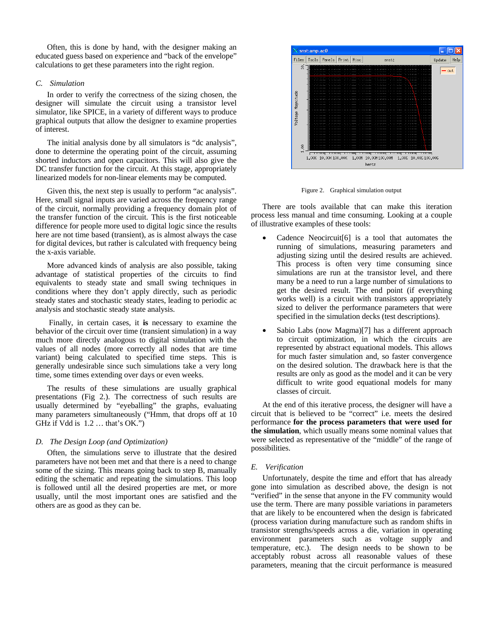Often, this is done by hand, with the designer making an educated guess based on experience and "back of the envelope" calculations to get these parameters into the right region.

# *C. Simulation*

In order to verify the correctness of the sizing chosen, the designer will simulate the circuit using a transistor level simulator, like SPICE, in a variety of different ways to produce graphical outputs that allow the designer to examine properties of interest.

The initial analysis done by all simulators is "dc analysis", done to determine the operating point of the circuit, assuming shorted inductors and open capacitors. This will also give the DC transfer function for the circuit. At this stage, appropriately linearized models for non-linear elements may be computed.

Given this, the next step is usually to perform "ac analysis". Here, small signal inputs are varied across the frequency range of the circuit, normally providing a frequency domain plot of the transfer function of the circuit. This is the first noticeable difference for people more used to digital logic since the results here are not time based (transient), as is almost always the case for digital devices, but rather is calculated with frequency being the x-axis variable.

More advanced kinds of analysis are also possible, taking advantage of statistical properties of the circuits to find equivalents to steady state and small swing techniques in conditions where they don't apply directly, such as periodic steady states and stochastic steady states, leading to periodic ac analysis and stochastic steady state analysis.

Finally, in certain cases, it **is** necessary to examine the behavior of the circuit over time (transient simulation) in a way much more directly analogous to digital simulation with the values of all nodes (more correctly all nodes that are time variant) being calculated to specified time steps. This is generally undesirable since such simulations take a very long time, some times extending over days or even weeks.

The results of these simulations are usually graphical presentations (Fig 2.). The correctness of such results are usually determined by "eyeballing" the graphs, evaluating many parameters simultaneously ("Hmm, that drops off at 10 GHz if Vdd is 1.2 … that's OK.")

# *D. The Design Loop (and Optimization)*

Often, the simulations serve to illustrate that the desired parameters have not been met and that there is a need to change some of the sizing. This means going back to step B, manually editing the schematic and repeating the simulations. This loop is followed until all the desired properties are met, or more usually, until the most important ones are satisfied and the others are as good as they can be.



Figure 2. Graphical simulation output

There are tools available that can make this iteration process less manual and time consuming. Looking at a couple of illustrative examples of these tools:

- Cadence Neocircuit [6] is a tool that automates the running of simulations, measuring parameters and adjusting sizing until the desired results are achieved. This process is often very time consuming since simulations are run at the transistor level, and there many be a need to run a large number of simulations to get the desired result. The end point (if everything works well) is a circuit with transistors appropriately sized to deliver the performance parameters that were specified in the simulation decks (test descriptions).
- Sabio Labs (now Magma)[7] has a different approach to circuit optimization, in which the circuits are represented by abstract equational models. This allows for much faster simulation and, so faster convergence on the desired solution. The drawback here is that the results are only as good as the model and it can be very difficult to write good equational models for many classes of circuit.

At the end of this iterative process, the designer will have a circuit that is believed to be "correct" i.e. meets the desired performance **for the process parameters that were used for the simulation**, which usually means some nominal values that were selected as representative of the "middle" of the range of possibilities.

# *E. Verification*

Unfortunately, despite the time and effort that has already gone into simulation as described above, the design is not "verified" in the sense that anyone in the FV community would use the term. There are many possible variations in parameters that are likely to be encountered when the design is fabricated (process variation during manufacture such as random shifts in transistor strengths/speeds across a die, variation in operating environment parameters such as voltage supply and temperature, etc.). The design needs to be shown to be acceptably robust across all reasonable values of these parameters, meaning that the circuit performance is measured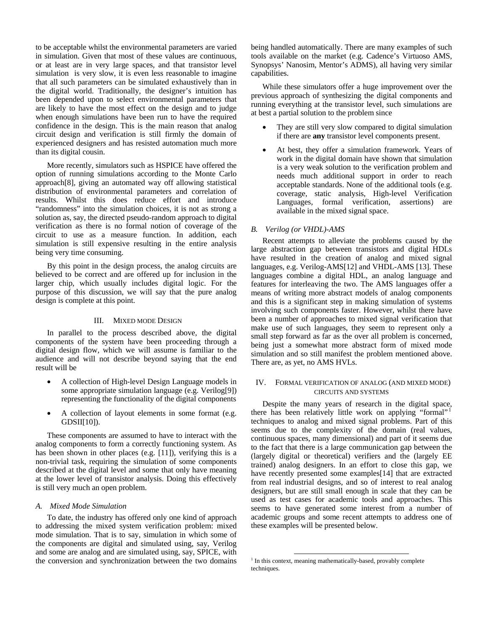to be acceptable whilst the environmental parameters are varied in simulation. Given that most of these values are continuous, or at least are in very large spaces, and that transistor level simulation is very slow, it is even less reasonable to imagine that all such parameters can be simulated exhaustively than in the digital world. Traditionally, the designer's intuition has been depended upon to select environmental parameters that are likely to have the most effect on the design and to judge when enough simulations have been run to have the required confidence in the design. This is the main reason that analog circuit design and verification is still firmly the domain of experienced designers and has resisted automation much more than its digital cousin.

More recently, simulators such as HSPICE have offered the option of running simulations according to the Monte Carlo approach[8], giving an automated way off allowing statistical distribution of environmental parameters and correlation of results. Whilst this does reduce effort and introduce "randomness" into the simulation choices, it is not as strong a solution as, say, the directed pseudo-random approach to digital verification as there is no formal notion of coverage of the circuit to use as a measure function. In addition, each simulation is still expensive resulting in the entire analysis being very time consuming.

By this point in the design process, the analog circuits are believed to be correct and are offered up for inclusion in the larger chip, which usually includes digital logic. For the purpose of this discussion, we will say that the pure analog design is complete at this point.

## III. MIXED MODE DESIGN

In parallel to the process described above, the digital components of the system have been proceeding through a digital design flow, which we will assume is familiar to the audience and will not describe beyond saying that the end result will be

- A collection of High-level Design Language models in some appropriate simulation language (e.g. Verilog[9]) representing the functionality of the digital components
- A collection of layout elements in some format (e.g. GDSII[10]).

These components are assumed to have to interact with the analog components to form a correctly functioning system. As has been shown in other places (e.g. [11]), verifying this is a non-trivial task, requiring the simulation of some components described at the digital level and some that only have meaning at the lower level of transistor analysis. Doing this effectively is still very much an open problem.

#### *A. Mixed Mode Simulation*

To date, the industry has offered only one kind of approach to addressing the mixed system verification problem: mixed mode simulation. That is to say, simulation in which some of the components are digital and simulated using, say, Verilog and some are analog and are simulated using, say, SPICE, with the conversion and synchronization between the two domains

being handled automatically. There are many examples of such tools available on the market (e.g. Cadence's Virtuoso AMS, Synopsys' Nanosim, Mentor's ADMS), all having very similar capabilities.

While these simulators offer a huge improvement over the previous approach of synthesizing the digital components and running everything at the transistor level, such simulations are at best a partial solution to the problem since

- They are still very slow compared to digital simulation if there are **any** transistor level components present.
- At best, they offer a simulation framework. Years of work in the digital domain have shown that simulation is a very weak solution to the verification problem and needs much additional support in order to reach acceptable standards. None of the additional tools (e.g. coverage, static analysis, High-level Verification Languages, formal verification, assertions) are available in the mixed signal space.

### *B. Verilog (or VHDL)-AMS*

Recent attempts to alleviate the problems caused by the large abstraction gap between transistors and digital HDLs have resulted in the creation of analog and mixed signal languages, e.g. Verilog-AMS[12] and VHDL-AMS [13]. These languages combine a digital HDL, an analog language and features for interleaving the two. The AMS languages offer a means of writing more abstract models of analog components and this is a significant step in making simulation of systems involving such components faster. However, whilst there have been a number of approaches to mixed signal verification that make use of such languages, they seem to represent only a small step forward as far as the over all problem is concerned, being just a somewhat more abstract form of mixed mode simulation and so still manifest the problem mentioned above. There are, as yet, no AMS HVLs.

# IV. FORMAL VERIFICATION OF ANALOG (AND MIXED MODE) CIRCUITS AND SYSTEMS

Despite the many years of research in the digital space, there has been relatively little work on applying "formal"<sup>1</sup> techniques to analog and mixed signal problems. Part of this seems due to the complexity of the domain (real values, continuous spaces, many dimensional) and part of it seems due to the fact that there is a large communication gap between the (largely digital or theoretical) verifiers and the (largely EE trained) analog designers. In an effort to close this gap, we have recently presented some examples[14] that are extracted from real industrial designs, and so of interest to real analog designers, but are still small enough in scale that they can be used as test cases for academic tools and approaches. This seems to have generated some interest from a number of academic groups and some recent attempts to address one of these examples will be presented below.

<sup>&</sup>lt;sup>1</sup> In this context, meaning mathematically-based, provably complete techniques.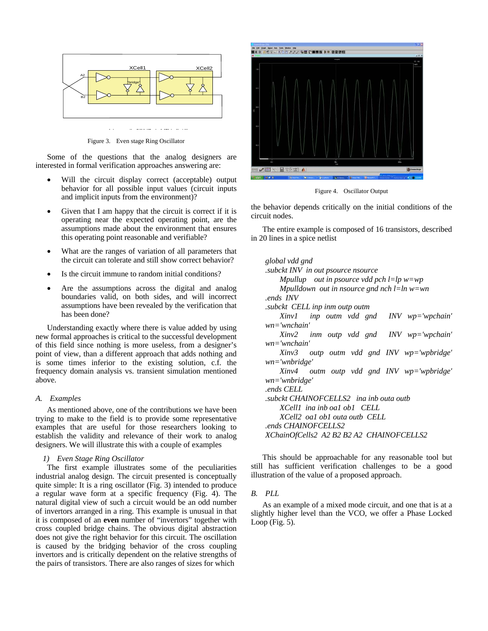

Figure 3. Even stage Ring Oscillator

Some of the questions that the analog designers are interested in formal verification approaches answering are:

- Will the circuit display correct (acceptable) output behavior for all possible input values (circuit inputs and implicit inputs from the environment)?
- Given that I am happy that the circuit is correct if it is operating near the expected operating point, are the assumptions made about the environment that ensures this operating point reasonable and verifiable?
- What are the ranges of variation of all parameters that the circuit can tolerate and still show correct behavior?
- Is the circuit immune to random initial conditions?
- Are the assumptions across the digital and analog boundaries valid, on both sides, and will incorrect assumptions have been revealed by the verification that has been done?

Understanding exactly where there is value added by using new formal approaches is critical to the successful development of this field since nothing is more useless, from a designer's point of view, than a different approach that adds nothing and is some times inferior to the existing solution, c.f. the frequency domain analysis vs. transient simulation mentioned above.

#### *A. Examples*

As mentioned above, one of the contributions we have been trying to make to the field is to provide some representative examples that are useful for those researchers looking to establish the validity and relevance of their work to analog designers. We will illustrate this with a couple of examples

#### *1) Even Stage Ring Oscillator*

The first example illustrates some of the peculiarities industrial analog design. The circuit presented is conceptually quite simple: It is a ring oscillator (Fig. 3) intended to produce a regular wave form at a specific frequency (Fig. 4). The natural digital view of such a circuit would be an odd number of invertors arranged in a ring. This example is unusual in that it is composed of an **even** number of "invertors" together with cross coupled bridge chains. The obvious digital abstraction does not give the right behavior for this circuit. The oscillation is caused by the bridging behavior of the cross coupling invertors and is critically dependent on the relative strengths of the pairs of transistors. There are also ranges of sizes for which



Figure 4. Oscillator Output

the behavior depends critically on the initial conditions of the circuit nodes.

The entire example is composed of 16 transistors, described in 20 lines in a spice netlist

| global vdd gnd                             |
|--------------------------------------------|
| subckt INV in out psource nsource.         |
| Mpullup out in psource vdd pch l=lp w=wp   |
| Mpulldown out in nsource gnd nch l=ln w=wn |
| ends INV                                   |
| .subckt CELL inp inm outp outm             |
| $Xinv1$ inp outm vdd gnd INV wp='wpchain'  |
| $wn = 'wnchain'$                           |
| Xinv2 inm outp vdd gnd INV wp='wpchain'    |
| $wn = 'wnchain'$                           |
| Xinv3 outp outm vdd gnd INV wp='wpbridge'  |
| $wn='whridge'$                             |
| Xinv4 outm outp vdd gnd INV wp='wpbridge'  |
| $wn = 'whridge'$                           |
| ends CELL.                                 |
| subckt CHAINOFCELLS2 ina inb outa outb.    |
| XCell1 ina inb oa1 ob1 CELL                |
| XCell2 oal obl outa outb CELL              |
| ends CHAINOFCELLS2                         |
| XChainOfCells2 A2 B2 B2 A2 CHAINOFCELLS2   |
|                                            |

This should be approachable for any reasonable tool but still has sufficient verification challenges to be a good illustration of the value of a proposed approach.

#### *B. PLL*

As an example of a mixed mode circuit, and one that is at a slightly higher level than the VCO, we offer a Phase Locked Loop (Fig.  $5$ ).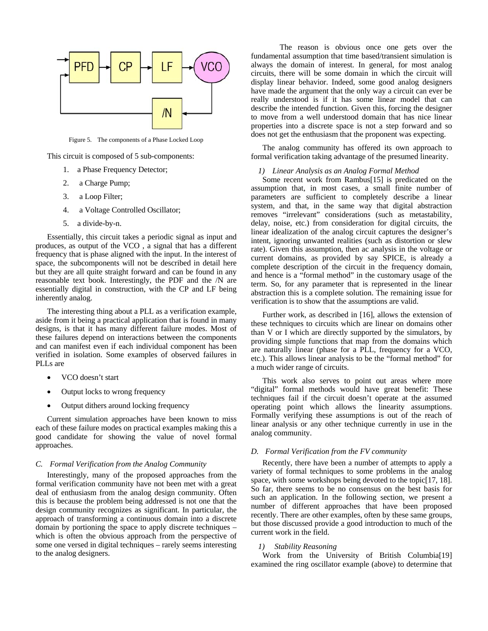

Figure 5. The components of a Phase Locked Loop

This circuit is composed of 5 sub-components:

- 1. a Phase Frequency Detector;
- 2. a Charge Pump;
- 3. a Loop Filter;
- 4. a Voltage Controlled Oscillator;
- 5. a divide-by-n.

Essentially, this circuit takes a periodic signal as input and produces, as output of the VCO , a signal that has a different frequency that is phase aligned with the input. In the interest of space, the subcomponents will not be described in detail here but they are all quite straight forward and can be found in any reasonable text book. Interestingly, the PDF and the /N are essentially digital in construction, with the CP and LF being inherently analog.

The interesting thing about a PLL as a verification example, aside from it being a practical application that is found in many designs, is that it has many different failure modes. Most of these failures depend on interactions between the components and can manifest even if each individual component has been verified in isolation. Some examples of observed failures in PLLs are

- VCO doesn't start
- Output locks to wrong frequency
- Output dithers around locking frequency

Current simulation approaches have been known to miss each of these failure modes on practical examples making this a good candidate for showing the value of novel formal approaches.

#### *C. Formal Verification from the Analog Community*

Interestingly, many of the proposed approaches from the formal verification community have not been met with a great deal of enthusiasm from the analog design community. Often this is because the problem being addressed is not one that the design community recognizes as significant. In particular, the approach of transforming a continuous domain into a discrete domain by portioning the space to apply discrete techniques – which is often the obvious approach from the perspective of some one versed in digital techniques – rarely seems interesting to the analog designers.

The reason is obvious once one gets over the fundamental assumption that time based/transient simulation is always the domain of interest. In general, for most analog circuits, there will be some domain in which the circuit will display linear behavior. Indeed, some good analog designers have made the argument that the only way a circuit can ever be really understood is if it has some linear model that can describe the intended function. Given this, forcing the designer to move from a well understood domain that has nice linear properties into a discrete space is not a step forward and so does not get the enthusiasm that the proponent was expecting.

The analog community has offered its own approach to formal verification taking advantage of the presumed linearity.

# *1) Linear Analysis as an Analog Formal Method*

Some recent work from Rambus[15] is predicated on the assumption that, in most cases, a small finite number of parameters are sufficient to completely describe a linear system, and that, in the same way that digital abstraction removes "irrelevant" considerations (such as metastability, delay, noise, etc.) from consideration for digital circuits, the linear idealization of the analog circuit captures the designer's intent, ignoring unwanted realities (such as distortion or slew rate). Given this assumption, then ac analysis in the voltage or current domains, as provided by say SPICE, is already a complete description of the circuit in the frequency domain, and hence is a "formal method" in the customary usage of the term. So, for any parameter that is represented in the linear abstraction this is a complete solution. The remaining issue for verification is to show that the assumptions are valid.

Further work, as described in [16], allows the extension of these techniques to circuits which are linear on domains other than V or I which are directly supported by the simulators, by providing simple functions that map from the domains which are naturally linear (phase for a PLL, frequency for a VCO, etc.). This allows linear analysis to be the "formal method" for a much wider range of circuits.

This work also serves to point out areas where more "digital" formal methods would have great benefit: These techniques fail if the circuit doesn't operate at the assumed operating point which allows the linearity assumptions. Formally verifying these assumptions is out of the reach of linear analysis or any other technique currently in use in the analog community.

# *D. Formal Verification from the FV community*

Recently, there have been a number of attempts to apply a variety of formal techniques to some problems in the analog space, with some workshops being devoted to the topic<sup>[17, 18]</sup>. So far, there seems to be no consensus on the best basis for such an application. In the following section, we present a number of different approaches that have been proposed recently. There are other examples, often by these same groups, but those discussed provide a good introduction to much of the current work in the field.

#### *1) Stability Reasoning*

Work from the University of British Columbia[19] examined the ring oscillator example (above) to determine that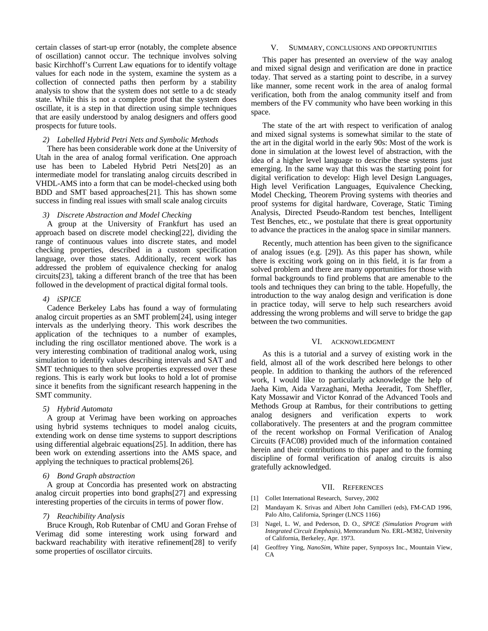certain classes of start-up error (notably, the complete absence of oscillation) cannot occur. The technique involves solving basic Kirchhoff's Current Law equations for to identify voltage values for each node in the system, examine the system as a collection of connected paths then perform by a stability analysis to show that the system does not settle to a dc steady state. While this is not a complete proof that the system does oscillate, it is a step in that direction using simple techniques that are easily understood by analog designers and offers good prospects for future tools.

# *2) Labelled Hybrid Petri Nets and Symbolic Methods*

There has been considerable work done at the University of Utah in the area of analog formal verification. One approach use has been to Labeled Hybrid Petri Nets[20] as an intermediate model for translating analog circuits described in VHDL-AMS into a form that can be model-checked using both BDD and SMT based approaches[21]. This has shown some success in finding real issues with small scale analog circuits

# *3) Discrete Abstraction and Model Checking*

A group at the University of Frankfurt has used an approach based on discrete model checking[22], dividing the range of continuous values into discrete states, and model checking properties, described in a custom specification language, over those states. Additionally, recent work has addressed the problem of equivalence checking for analog circuits[23], taking a different branch of the tree that has been followed in the development of practical digital formal tools.

### *4) iSPICE*

Cadence Berkeley Labs has found a way of formulating analog circuit properties as an SMT problem[24], using integer intervals as the underlying theory. This work describes the application of the techniques to a number of examples, including the ring oscillator mentioned above. The work is a very interesting combination of traditional analog work, using simulation to identify values describing intervals and SAT and SMT techniques to then solve properties expressed over these regions. This is early work but looks to hold a lot of promise since it benefits from the significant research happening in the SMT community.

#### *5) Hybrid Automata*

A group at Verimag have been working on approaches using hybrid systems techniques to model analog cicuits, extending work on dense time systems to support descriptions using differential algebraic equations[25]. In addition, there has been work on extending assertions into the AMS space, and applying the techniques to practical problems[26].

### *6) Bond Graph abstraction*

A group at Concordia has presented work on abstracting analog circuit properties into bond graphs[27] and expressing interesting properties of the circuits in terms of power flow.

# *7) Reachibility Analysis*

Bruce Krough, Rob Rutenbar of CMU and Goran Frehse of Verimag did some interesting work using forward and backward reachability with iterative refinement[28] to verify some properties of oscillator circuits.

#### V. SUMMARY, CONCLUSIONS AND OPPORTUNITIES

This paper has presented an overview of the way analog and mixed signal design and verification are done in practice today. That served as a starting point to describe, in a survey like manner, some recent work in the area of analog formal verification, both from the analog community itself and from members of the FV community who have been working in this space.

The state of the art with respect to verification of analog and mixed signal systems is somewhat similar to the state of the art in the digital world in the early 90s: Most of the work is done in simulation at the lowest level of abstraction, with the idea of a higher level language to describe these systems just emerging. In the same way that this was the starting point for digital verification to develop: High level Design Languages, High level Verification Languages, Equivalence Checking, Model Checking, Theorem Proving systems with theories and proof systems for digital hardware, Coverage, Static Timing Analysis, Directed Pseudo-Random test benches, Intelligent Test Benches, etc., we postulate that there is great opportunity to advance the practices in the analog space in similar manners.

Recently, much attention has been given to the significance of analog issues (e.g. [29]). As this paper has shown, while there is exciting work going on in this field, it is far from a solved problem and there are many opportunities for those with formal backgrounds to find problems that are amenable to the tools and techniques they can bring to the table. Hopefully, the introduction to the way analog design and verification is done in practice today, will serve to help such researchers avoid addressing the wrong problems and will serve to bridge the gap between the two communities.

# VI. ACKNOWLEDGMENT

As this is a tutorial and a survey of existing work in the field, almost all of the work described here belongs to other people. In addition to thanking the authors of the referenced work, I would like to particularly acknowledge the help of Jaeha Kim, Aida Varzaghani, Metha Jeeradit, Tom Sheffler, Katy Mossawir and Victor Konrad of the Advanced Tools and Methods Group at Rambus, for their contributions to getting analog designers and verification experts to work collaboratively. The presenters at and the program committee of the recent workshop on Formal Verification of Analog Circuits (FAC08) provided much of the information contained herein and their contributions to this paper and to the forming discipline of formal verification of analog circuits is also gratefully acknowledged.

#### VII. REFERENCES

- [1] Collet International Research, Survey, 2002
- [2] Mandayam K. Srivas and Albert John Camilleri (eds), FM-CAD 1996, Palo Alto, California, Springer (LNCS 1166)
- [3] Nagel, L. W, and Pederson, D. O., *SPICE (Simulation Program with Integrated Circuit Emphasis)*, Memorandum No. ERL-M382, University of California, Berkeley, Apr. 1973.
- [4] Geoffrey Ying, *NanoSim*, White paper, Synposys Inc., Mountain View,  $CA$